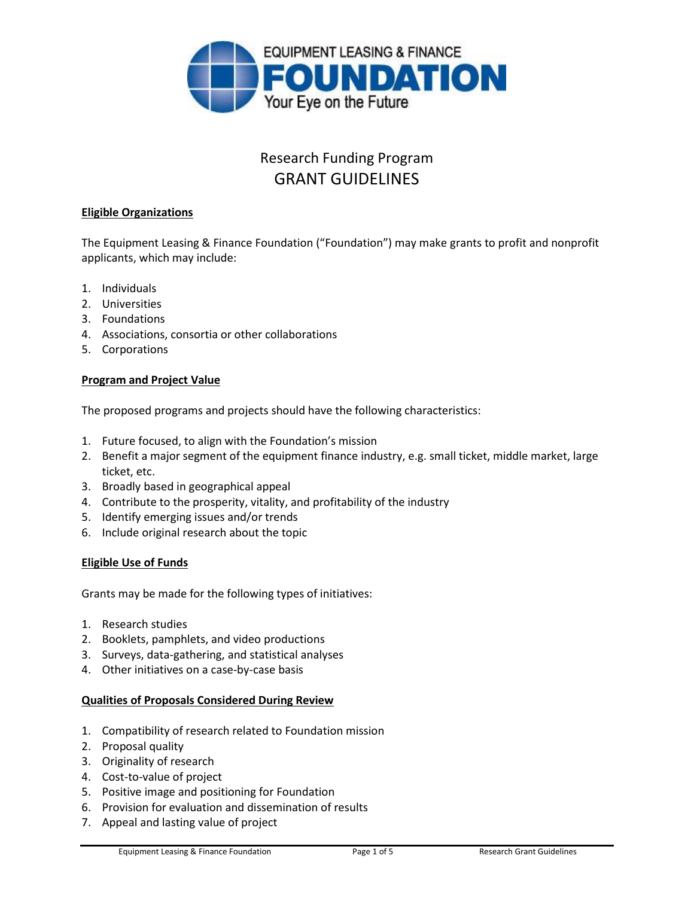

# Research Funding Program GRANT GUIDELINES

## **Eligible Organizations**

The Equipment Leasing & Finance Foundation ("Foundation") may make grants to profit and nonprofit applicants, which may include:

- 1. Individuals
- 2. Universities
- 3. Foundations
- 4. Associations, consortia or other collaborations
- 5. Corporations

## **Program and Project Value**

The proposed programs and projects should have the following characteristics:

- 1. Future focused, to align with the Foundation's mission
- 2. Benefit a major segment of the equipment finance industry, e.g. small ticket, middle market, large ticket, etc.
- 3. Broadly based in geographical appeal
- 4. Contribute to the prosperity, vitality, and profitability of the industry
- 5. Identify emerging issues and/or trends
- 6. Include original research about the topic

## **Eligible Use of Funds**

Grants may be made for the following types of initiatives:

- 1. Research studies
- 2. Booklets, pamphlets, and video productions
- 3. Surveys, data-gathering, and statistical analyses
- 4. Other initiatives on a case-by-case basis

## **Qualities of Proposals Considered During Review**

- 1. Compatibility of research related to Foundation mission
- 2. Proposal quality
- 3. Originality of research
- 4. Cost-to-value of project
- 5. Positive image and positioning for Foundation
- 6. Provision for evaluation and dissemination of results
- 7. Appeal and lasting value of project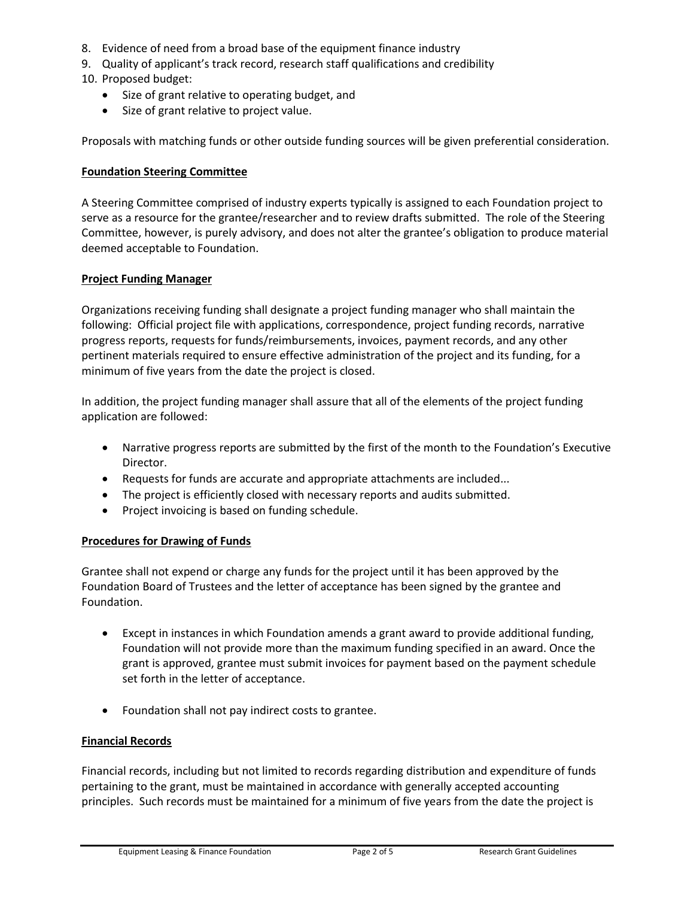- 8. Evidence of need from a broad base of the equipment finance industry
- 9. Quality of applicant's track record, research staff qualifications and credibility
- 10. Proposed budget:
	- Size of grant relative to operating budget, and
	- Size of grant relative to project value.

Proposals with matching funds or other outside funding sources will be given preferential consideration.

#### **Foundation Steering Committee**

A Steering Committee comprised of industry experts typically is assigned to each Foundation project to serve as a resource for the grantee/researcher and to review drafts submitted. The role of the Steering Committee, however, is purely advisory, and does not alter the grantee's obligation to produce material deemed acceptable to Foundation.

#### **Project Funding Manager**

Organizations receiving funding shall designate a project funding manager who shall maintain the following: Official project file with applications, correspondence, project funding records, narrative progress reports, requests for funds/reimbursements, invoices, payment records, and any other pertinent materials required to ensure effective administration of the project and its funding, for a minimum of five years from the date the project is closed.

In addition, the project funding manager shall assure that all of the elements of the project funding application are followed:

- Narrative progress reports are submitted by the first of the month to the Foundation's Executive Director.
- Requests for funds are accurate and appropriate attachments are included...
- The project is efficiently closed with necessary reports and audits submitted.
- Project invoicing is based on funding schedule.

## **Procedures for Drawing of Funds**

Grantee shall not expend or charge any funds for the project until it has been approved by the Foundation Board of Trustees and the letter of acceptance has been signed by the grantee and Foundation.

- Except in instances in which Foundation amends a grant award to provide additional funding, Foundation will not provide more than the maximum funding specified in an award. Once the grant is approved, grantee must submit invoices for payment based on the payment schedule set forth in the letter of acceptance.
- Foundation shall not pay indirect costs to grantee.

## **Financial Records**

Financial records, including but not limited to records regarding distribution and expenditure of funds pertaining to the grant, must be maintained in accordance with generally accepted accounting principles. Such records must be maintained for a minimum of five years from the date the project is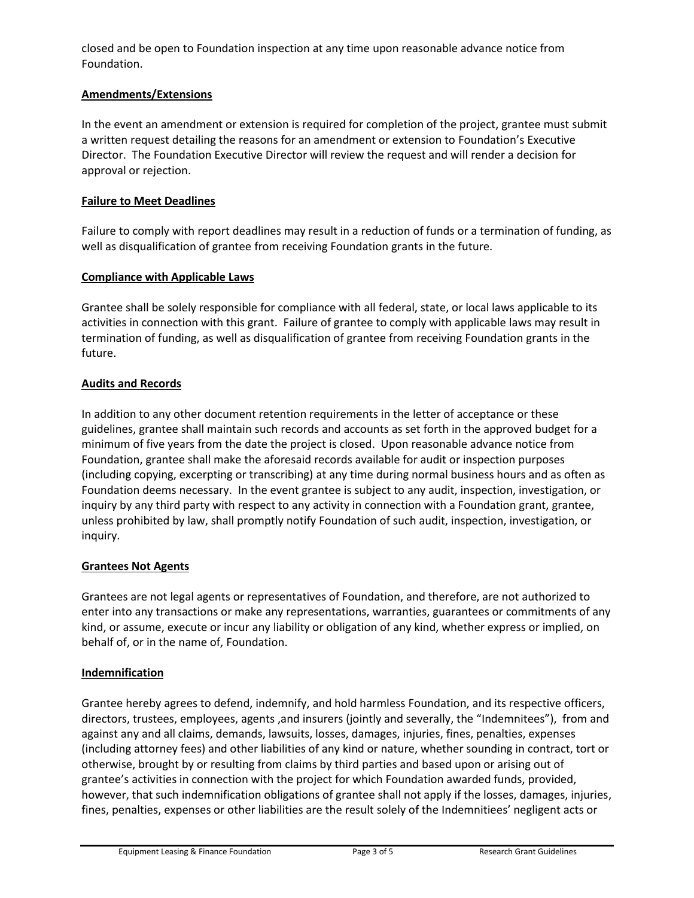closed and be open to Foundation inspection at any time upon reasonable advance notice from Foundation.

## **Amendments/Extensions**

In the event an amendment or extension is required for completion of the project, grantee must submit a written request detailing the reasons for an amendment or extension to Foundation's Executive Director. The Foundation Executive Director will review the request and will render a decision for approval or rejection.

## **Failure to Meet Deadlines**

Failure to comply with report deadlines may result in a reduction of funds or a termination of funding, as well as disqualification of grantee from receiving Foundation grants in the future.

## **Compliance with Applicable Laws**

Grantee shall be solely responsible for compliance with all federal, state, or local laws applicable to its activities in connection with this grant. Failure of grantee to comply with applicable laws may result in termination of funding, as well as disqualification of grantee from receiving Foundation grants in the future.

## **Audits and Records**

In addition to any other document retention requirements in the letter of acceptance or these guidelines, grantee shall maintain such records and accounts as set forth in the approved budget for a minimum of five years from the date the project is closed. Upon reasonable advance notice from Foundation, grantee shall make the aforesaid records available for audit or inspection purposes (including copying, excerpting or transcribing) at any time during normal business hours and as often as Foundation deems necessary. In the event grantee is subject to any audit, inspection, investigation, or inquiry by any third party with respect to any activity in connection with a Foundation grant, grantee, unless prohibited by law, shall promptly notify Foundation of such audit, inspection, investigation, or inquiry.

## **Grantees Not Agents**

Grantees are not legal agents or representatives of Foundation, and therefore, are not authorized to enter into any transactions or make any representations, warranties, guarantees or commitments of any kind, or assume, execute or incur any liability or obligation of any kind, whether express or implied, on behalf of, or in the name of, Foundation.

## **Indemnification**

Grantee hereby agrees to defend, indemnify, and hold harmless Foundation, and its respective officers, directors, trustees, employees, agents ,and insurers (jointly and severally, the "Indemnitees"), from and against any and all claims, demands, lawsuits, losses, damages, injuries, fines, penalties, expenses (including attorney fees) and other liabilities of any kind or nature, whether sounding in contract, tort or otherwise, brought by or resulting from claims by third parties and based upon or arising out of grantee's activities in connection with the project for which Foundation awarded funds, provided, however, that such indemnification obligations of grantee shall not apply if the losses, damages, injuries, fines, penalties, expenses or other liabilities are the result solely of the Indemnitiees' negligent acts or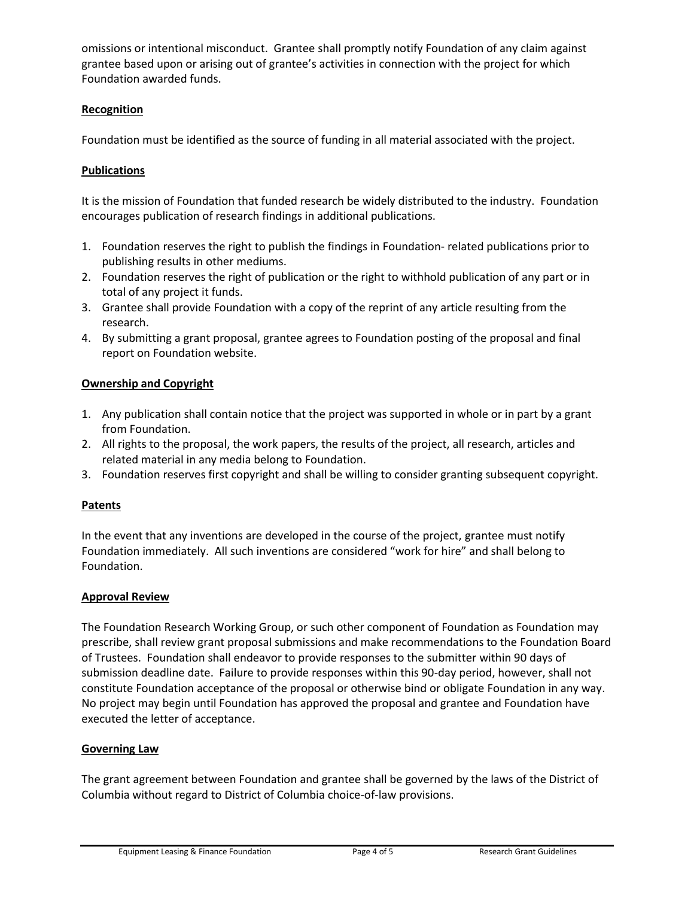omissions or intentional misconduct. Grantee shall promptly notify Foundation of any claim against grantee based upon or arising out of grantee's activities in connection with the project for which Foundation awarded funds.

# **Recognition**

Foundation must be identified as the source of funding in all material associated with the project.

# **Publications**

It is the mission of Foundation that funded research be widely distributed to the industry. Foundation encourages publication of research findings in additional publications.

- 1. Foundation reserves the right to publish the findings in Foundation- related publications prior to publishing results in other mediums.
- 2. Foundation reserves the right of publication or the right to withhold publication of any part or in total of any project it funds.
- 3. Grantee shall provide Foundation with a copy of the reprint of any article resulting from the research.
- 4. By submitting a grant proposal, grantee agrees to Foundation posting of the proposal and final report on Foundation website.

# **Ownership and Copyright**

- 1. Any publication shall contain notice that the project was supported in whole or in part by a grant from Foundation.
- 2. All rights to the proposal, the work papers, the results of the project, all research, articles and related material in any media belong to Foundation.
- 3. Foundation reserves first copyright and shall be willing to consider granting subsequent copyright.

# **Patents**

In the event that any inventions are developed in the course of the project, grantee must notify Foundation immediately. All such inventions are considered "work for hire" and shall belong to Foundation.

# **Approval Review**

The Foundation Research Working Group, or such other component of Foundation as Foundation may prescribe, shall review grant proposal submissions and make recommendations to the Foundation Board of Trustees. Foundation shall endeavor to provide responses to the submitter within 90 days of submission deadline date. Failure to provide responses within this 90-day period, however, shall not constitute Foundation acceptance of the proposal or otherwise bind or obligate Foundation in any way. No project may begin until Foundation has approved the proposal and grantee and Foundation have executed the letter of acceptance.

# **Governing Law**

The grant agreement between Foundation and grantee shall be governed by the laws of the District of Columbia without regard to District of Columbia choice-of-law provisions.